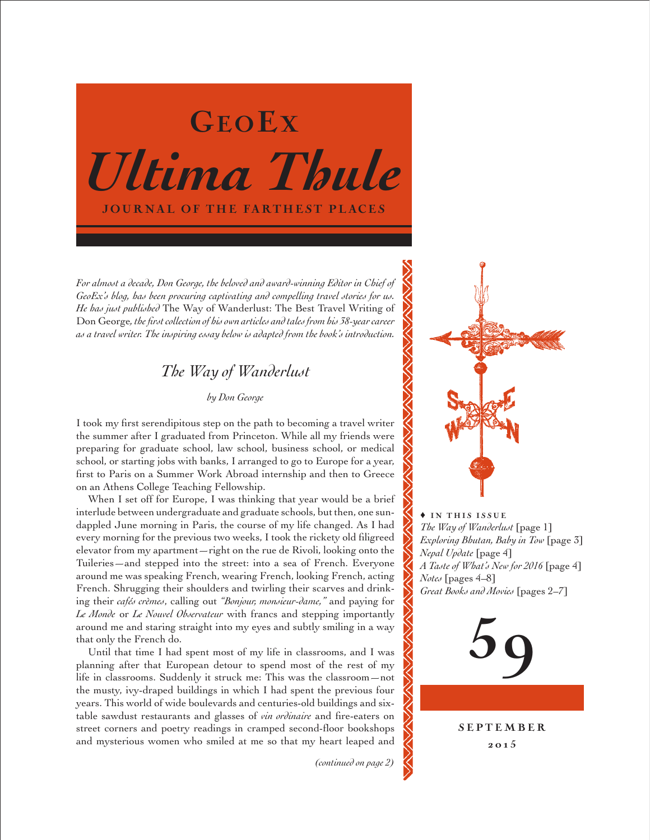

*For almost a decade, Don George, the beloved and award-winning Editor in Chief of GeoEx's blog, has been procuring captivating and compelling travel stories for us. He has just published* The Way of Wanderlust: The Best Travel Writing of Don George*, the first collection of his own articles and tales from his 38-year career as a travel writer. The inspiring essay below is adapted from the book's introduction.*

## *The Way of Wanderlust*

## *by Don George*

I took my first serendipitous step on the path to becoming a travel writer the summer after I graduated from Princeton. While all my friends were preparing for graduate school, law school, business school, or medical school, or starting jobs with banks, I arranged to go to Europe for a year, first to Paris on a Summer Work Abroad internship and then to Greece on an Athens College Teaching Fellowship.

When I set off for Europe, I was thinking that year would be a brief interlude between undergraduate and graduate schools, but then, one sundappled June morning in Paris, the course of my life changed. As I had every morning for the previous two weeks, I took the rickety old filigreed elevator from my apartment—right on the rue de Rivoli, looking onto the Tuileries—and stepped into the street: into a sea of French. Everyone around me was speaking French, wearing French, looking French, acting French. Shrugging their shoulders and twirling their scarves and drinking their *cafés crèmes*, calling out *"Bonjour, monsieur-dame,"* and paying for *Le Monde* or *Le Nouvel Observateur* with francs and stepping importantly around me and staring straight into my eyes and subtly smiling in a way that only the French do.

Until that time I had spent most of my life in classrooms, and I was planning after that European detour to spend most of the rest of my life in classrooms. Suddenly it struck me: This was the classroom—not the musty, ivy-draped buildings in which I had spent the previous four years. This world of wide boulevards and centuries-old buildings and sixtable sawdust restaurants and glasses of *vin ordinaire* and fire-eaters on street corners and poetry readings in cramped second-floor bookshops and mysterious women who smiled at me so that my heart leaped and

*(continued on page 2)*



 $\rightarrow$  IN THIS ISSUE *The Way of Wanderlust* [page 1] *Exploring Bhutan, Baby in Tow* [page 3] *Nepal Update* [page 4] *A Taste of What's New for 2016* [page 4] *Notes* [pages 4–8] *Great Books and Movies* [pages 2–7]

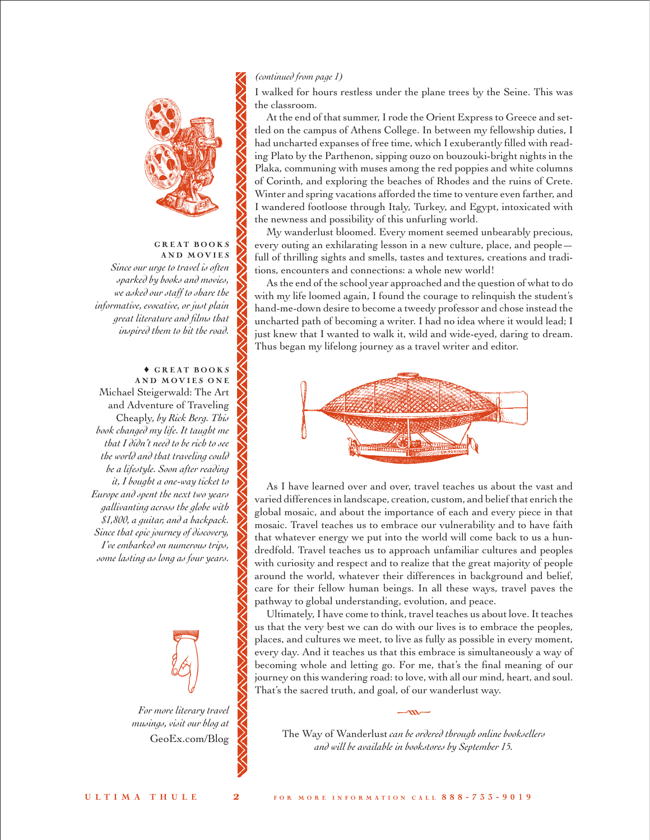

#### GREAT BOOKS AND MOVIES

*Since our urge to travel is often sparked by books and movies, we asked our staff to share the informative, evocative, or just plain great literature and films that inspired them to hit the road.*

## ♦ G R E A T B O O K S AND MOVIES ONE

Michael Steigerwald: The Art and Adventure of Traveling Cheaply*, by Rick Berg. This book changed my life. It taught me that I didn't need to be rich to see the world and that traveling could be a lifestyle. Soon after reading it, I bought a one-way ticket to Europe and spent the next two years gallivanting across the globe with \$1,800, a guitar, and a backpack. Since that epic journey of discovery, I've embarked on numerous trips, some lasting as long as four years.* 



*For more literary travel musings, visit our blog at* [GeoEx.com/Blog](http://www.geoex.com/blog)

### *(continued from page 1)*

I walked for hours restless under the plane trees by the Seine. This was the classroom.

At the end of that summer, I rode the Orient Express to Greece and settled on the campus of Athens College. In between my fellowship duties, I had uncharted expanses of free time, which I exuberantly filled with reading Plato by the Parthenon, sipping ouzo on bouzouki-bright nights in the Plaka, communing with muses among the red poppies and white columns of Corinth, and exploring the beaches of Rhodes and the ruins of Crete. Winter and spring vacations afforded the time to venture even farther, and I wandered footloose through Italy, Turkey, and Egypt, intoxicated with the newness and possibility of this unfurling world.

My wanderlust bloomed. Every moment seemed unbearably precious, every outing an exhilarating lesson in a new culture, place, and people full of thrilling sights and smells, tastes and textures, creations and traditions, encounters and connections: a whole new world!

As the end of the school year approached and the question of what to do with my life loomed again, I found the courage to relinquish the student's hand-me-down desire to become a tweedy professor and chose instead the uncharted path of becoming a writer. I had no idea where it would lead; I just knew that I wanted to walk it, wild and wide-eyed, daring to dream. Thus began my lifelong journey as a travel writer and editor.



As I have learned over and over, travel teaches us about the vast and varied differences in landscape, creation, custom, and belief that enrich the global mosaic, and about the importance of each and every piece in that mosaic. Travel teaches us to embrace our vulnerability and to have faith that whatever energy we put into the world will come back to us a hundredfold. Travel teaches us to approach unfamiliar cultures and peoples with curiosity and respect and to realize that the great majority of people around the world, whatever their differences in background and belief, care for their fellow human beings. In all these ways, travel paves the pathway to global understanding, evolution, and peace.

Ultimately, I have come to think, travel teaches us about love. It teaches us that the very best we can do with our lives is to embrace the peoples, places, and cultures we meet, to live as fully as possible in every moment, every day. And it teaches us that this embrace is simultaneously a way of becoming whole and letting go. For me, that's the final meaning of our journey on this wandering road: to love, with all our mind, heart, and soul. That's the sacred truth, and goal, of our wanderlust way.

The Way of Wanderlust *can be ordered through online booksellers and will be available in bookstores by September 15.*

 $-\infty$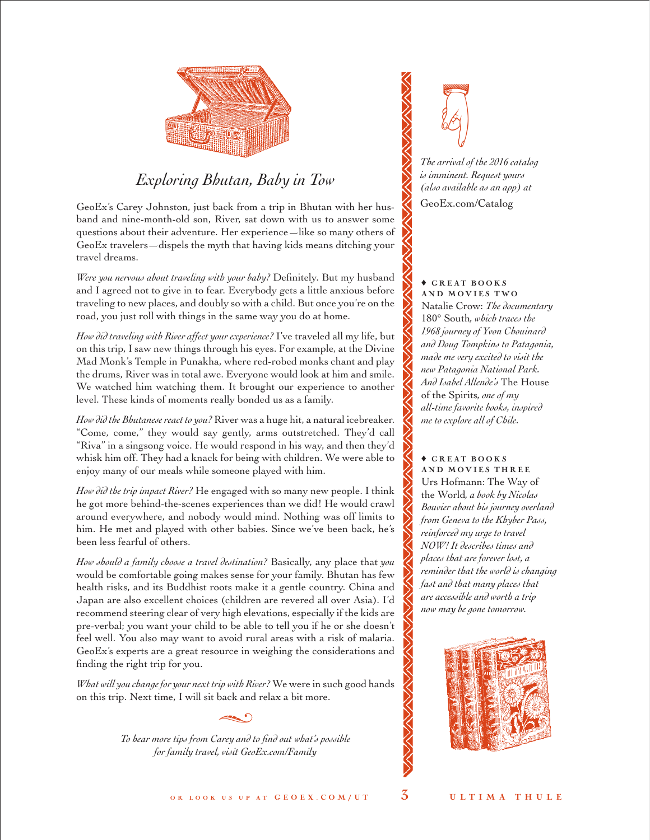

# *Exploring Bhutan, Baby in Tow*

GeoEx's Carey Johnston, just back from a trip in Bhutan with her husband and nine-month-old son, River, sat down with us to answer some questions about their adventure. Her experience—like so many others of GeoEx travelers—dispels the myth that having kids means ditching your travel dreams.

*Were you nervous about traveling with your baby?* Definitely. But my husband and I agreed not to give in to fear. Everybody gets a little anxious before traveling to new places, and doubly so with a child. But once you're on the road, you just roll with things in the same way you do at home.

*How did traveling with River affect your experience?* I've traveled all my life, but on this trip, I saw new things through his eyes. For example, at the Divine Mad Monk's Temple in Punakha, where red-robed monks chant and play the drums, River was in total awe. Everyone would look at him and smile. We watched him watching them. It brought our experience to another level. These kinds of moments really bonded us as a family.

*How did the Bhutanese react to you?* River was a huge hit, a natural icebreaker. "Come, come," they would say gently, arms outstretched. They'd call "Riva" in a singsong voice. He would respond in his way, and then they'd whisk him off. They had a knack for being with children. We were able to enjoy many of our meals while someone played with him.

*How did the trip impact River?* He engaged with so many new people. I think he got more behind-the-scenes experiences than we did! He would crawl around everywhere, and nobody would mind. Nothing was off limits to him. He met and played with other babies. Since we've been back, he's been less fearful of others.

*How should a family choose a travel destination?* Basically, any place that *you*  would be comfortable going makes sense for your family. Bhutan has few health risks, and its Buddhist roots make it a gentle country. China and Japan are also excellent choices (children are revered all over Asia). I'd recommend steering clear of very high elevations, especially if the kids are pre-verbal; you want your child to be able to tell you if he or she doesn't feel well. You also may want to avoid rural areas with a risk of malaria. GeoEx's experts are a great resource in weighing the considerations and finding the right trip for you.

*What will you change for your next trip with River?* We were in such good hands on this trip. Next time, I will sit back and relax a bit more.

 $\sim$ 

*To hear more tips from Carey and to find out what's possible for family travel, visi[t GeoEx.com/Family](http://www.geoex.com/Family)*



*The arrival of the 2016 catalog is imminent. Request yours (also available as an app) at* [GeoEx.com/Catalog](www.geoex.com/catalog)

#### $\triangle$  GREAT BOOKS AND MOVIES TWO

Natalie Crow: *The documentary*  180° South*, which traces the 1968 journey of Yvon Chouinard and Doug Tompkins to Patagonia, made me very excited to visit the new Patagonia National Park. And Isabel Allende's* The House of the Spirits*, one of my all-time favorite books, inspired me to explore all of Chile.* 

#### $\triangle$  GREAT BOOKS AND MOVIES THREE Urs Hofmann: The Way of

the World*, a book by Nicolas Bouvier about his journey overland from Geneva to the Khyber Pass, reinforced my urge to travel NOW! It describes times and places that are forever lost, a reminder that the world is changing fast and that many places that are accessible and worth a trip now may be gone tomorrow.*

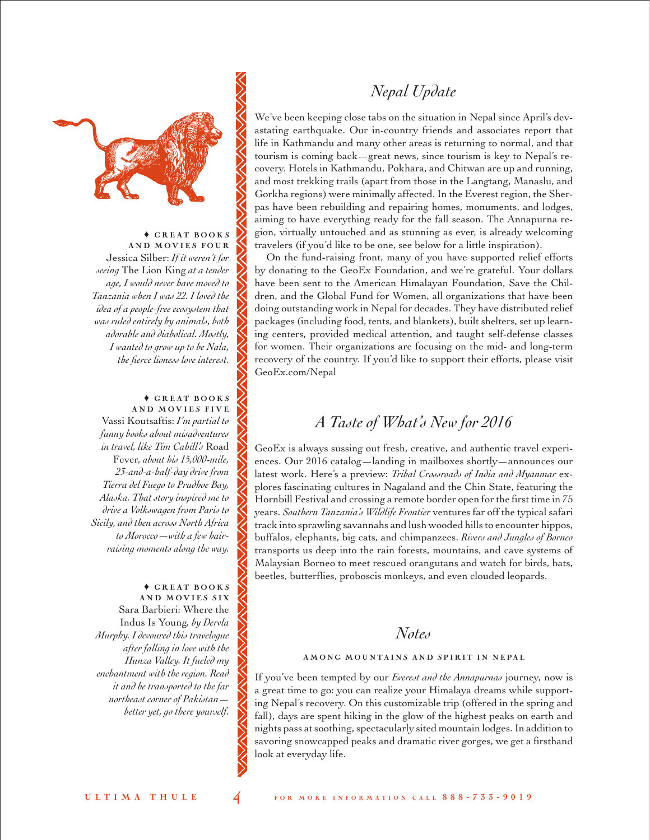



 $\triangle$  GREAT BOOKS AND MOVIES FOUR Jessica Silber: *If it weren't for seeing* The Lion King *at a tender age, I would never have moved to Tanzania when I was 22. I loved the idea of a people-free ecosystem that was ruled entirely by animals, both adorable and diabolical. Mostly, I wanted to grow up to be Nala, the fierce lioness love interest.*

#### $\triangle$  GREAT BOOKS AND MOVIES FIVE

Vassi Koutsaftis: *I'm partial to funny books about misadventures in travel, like Tim Cahill's* Road Fever*, about his 15,000-mile, 23-and-a-half-day drive from Tierra del Fuego to Prudhoe Bay, Alaska. That story inspired me to drive a Volkswagen from Paris to Sicily, and then across North Africa to Morocco—with a few hairraising moments along the way.*

 $\triangle$  GREAT BOOKS AND MOVIES SIX Sara Barbieri: Where the Indus Is Young*, by Dervla Murphy. I devoured this travelogue after falling in love with the Hunza Valley. It fueled my enchantment with the region. Read it and be transported to the far northeast corner of Pakistan better yet, go there yourself.*

We've been keeping close tabs on the situation in Nepal since April's devastating earthquake. Our in-country friends and associates report that life in Kathmandu and many other areas is returning to normal, and that tourism is coming back—great news, since tourism is key to Nepal's recovery. Hotels in Kathmandu, Pokhara, and Chitwan are up and running, and most trekking trails (apart from those in the Langtang, Manaslu, and Gorkha regions) were minimally affected. In the Everest region, the Sherpas have been rebuilding and repairing homes, monuments, and lodges, aiming to have everything ready for the fall season. The Annapurna region, virtually untouched and as stunning as ever, is already welcoming travelers (if you'd like to be one, see below for a little inspiration).

On the fund-raising front, many of you have supported relief efforts by donating to the GeoEx Foundation, and we're grateful. Your dollars have been sent to the American Himalayan Foundation, Save the Children, and the Global Fund for Women, all organizations that have been doing outstanding work in Nepal for decades. They have distributed relief packages (including food, tents, and blankets), built shelters, set up learning centers, provided medical attention, and taught self-defense classes for women. Their organizations are focusing on the mid- and long-term recovery of the country. If you'd like to support their efforts, please visit [GeoEx.com/Nepal](http://www.geoex.com/about/nepal-earthquake-relief)

# *A Taste of What's New for 2016*

GeoEx is always sussing out fresh, creative, and authentic travel experiences. Our 2016 catalog—landing in mailboxes shortly—announces our latest work. Here's a preview: *Tribal Crossroads of India and Myanmar* explores fascinating cultures in Nagaland and the Chin State, featuring the Hornbill Festival and crossing a remote border open for the first time in 75 years. *Southern Tanzania's Wildlife Frontier* ventures far off the typical safari track into sprawling savannahs and lush wooded hills to encounter hippos, buffalos, elephants, big cats, and chimpanzees. *Rivers and Jungles of Borneo* transports us deep into the rain forests, mountains, and cave systems of Malaysian Borneo to meet rescued orangutans and watch for birds, bats, beetles, butterflies, proboscis monkeys, and even clouded leopards.

## *Notes*

## AMONG MOUNTAINS AND SPIRIT IN NEPAL

If you've been tempted by our *Everest and the Annapurnas* journey, now is a great time to go: you can realize your Himalaya dreams while supporting Nepal's recovery. On this customizable trip (offered in the spring and fall), days are spent hiking in the glow of the highest peaks on earth and nights pass at soothing, spectacularly sited mountain lodges. In addition to savoring snowcapped peaks and dramatic river gorges, we get a firsthand look at everyday life.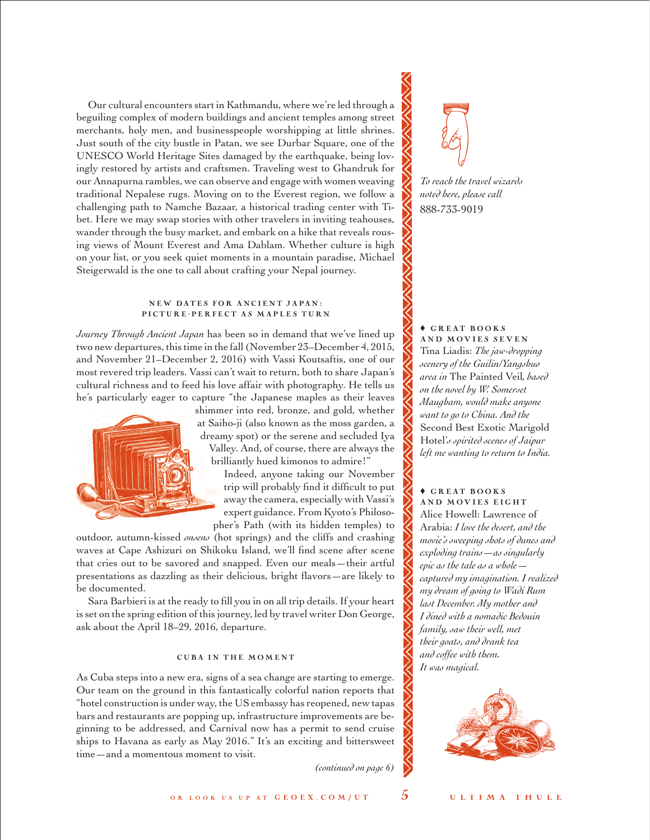Our cultural encounters start in Kathmandu, where we're led through a beguiling complex of modern buildings and ancient temples among street merchants, holy men, and businesspeople worshipping at little shrines. Just south of the city bustle in Patan, we see Durbar Square, one of the UNESCO World Heritage Sites damaged by the earthquake, being lovingly restored by artists and craftsmen. Traveling west to Ghandruk for our Annapurna rambles, we can observe and engage with women weaving traditional Nepalese rugs. Moving on to the Everest region, we follow a challenging path to Namche Bazaar, a historical trading center with Tibet. Here we may swap stories with other travelers in inviting teahouses, wander through the busy market, and embark on a hike that reveals rousing views of Mount Everest and Ama Dablam. Whether culture is high on your list, or you seek quiet moments in a mountain paradise, Michael Steigerwald is the one to call about crafting your Nepal journey.

#### NEW DATES FOR ANCIENT JAPAN: PICTURE-PERFECT AS MAPLES TURN

*Journey Through Ancient Japan* has been so in demand that we've lined up two new departures, this time in the fall (November 23–December 4, 2015, and November 21–December 2, 2016) with Vassi Koutsaftis, one of our most revered trip leaders. Vassi can't wait to return, both to share Japan's cultural richness and to feed his love affair with photography. He tells us he's particularly eager to capture "the Japanese maples as their leaves



shimmer into red, bronze, and gold, whether at Saiho-ji (also known as the moss garden, a dreamy spot) or the serene and secluded Iya Valley. And, of course, there are always the brilliantly hued kimonos to admire!"

Indeed, anyone taking our November trip will probably find it difficult to put away the camera, especially with Vassi's expert guidance. From Kyoto's Philosopher's Path (with its hidden temples) to

outdoor, autumn-kissed *onsens* (hot springs) and the cliffs and crashing waves at Cape Ashizuri on Shikoku Island, we'll find scene after scene that cries out to be savored and snapped. Even our meals—their artful presentations as dazzling as their delicious, bright flavors—are likely to be documented.

Sara Barbieri is at the ready to fill you in on all trip details. If your heart is set on the spring edition of this journey, led by travel writer Don George, ask about the April 18–29, 2016, departure.

#### **CUBA IN THE MOMENT**

As Cuba steps into a new era, signs of a sea change are starting to emerge. Our team on the ground in this fantastically colorful nation reports that "hotel construction is under way, the US embassy has reopened, new tapas bars and restaurants are popping up, infrastructure improvements are beginning to be addressed, and Carnival now has a permit to send cruise ships to Havana as early as May 2016." It's an exciting and bittersweet time—and a momentous moment to visit.

*(continued on page 6)*



*To reach the travel wizards noted here, please call* 888-733-9019

 $\triangle$  GREAT BOOKS AND MOVIES SEVEN Tina Liadis: *The jaw-dropping scenery of the Guilin/Yangshuo area in* The Painted Veil*, based on the novel by W. Somerset Maugham, would make anyone want to go to China. And the*  Second Best Exotic Marigold Hotel'*s spirited scenes of Jaipur left me wanting to return to India.*

## $\triangle$  GREAT BOOKS AND MOVIES EIGHT Alice Howell: Lawrence of Arabia: *I love the desert, and the movie's sweeping shots of dunes and*

*exploding trains—as singularly epic as the tale as a whole captured my imagination. I realized my dream of going to Wadi Rum last December. My mother and I dined with a nomadic Bedouin family, saw their well, met their goats, and drank tea and coffee with them. It was magical.*

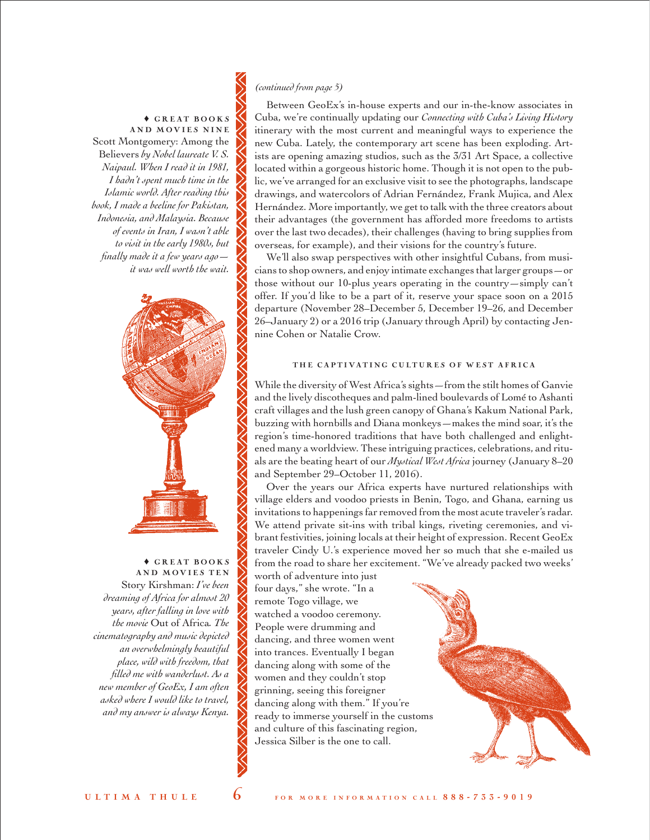## *(continued from page 5)*

 $\triangle$  GREAT BOOKS AND MOVIES NINE Scott Montgomery: Among the Believers *by Nobel laureate V. S. Naipaul. When I read it in 1981, I hadn't spent much time in the Islamic world. After reading this book, I made a beeline for Pakistan, Indonesia, and Malaysia. Because of events in Iran, I wasn't able to visit in the early 1980s, but finally made it a few years ago it was well worth the wait.*



 $\triangle$  GREAT BOOKS AND MOVIES TEN Story Kirshman: *I've been dreaming of Africa for almost 20 years, after falling in love with the movie* Out of Africa*. The cinematography and music depicted an overwhelmingly beautiful place, wild with freedom, that filled me with wanderlust. As a new member of GeoEx, I am often asked where I would like to travel, and my answer is always Kenya.*

Between GeoEx's in-house experts and our in-the-know associates in Cuba, we're continually updating our *Connecting with Cuba's Living History* itinerary with the most current and meaningful ways to experience the new Cuba. Lately, the contemporary art scene has been exploding. Artists are opening amazing studios, such as the 3/31 Art Space, a collective located within a gorgeous historic home. Though it is not open to the public, we've arranged for an exclusive visit to see the photographs, landscape drawings, and watercolors of Adrian Fernández, Frank Mujica, and Alex Hernández. More importantly, we get to talk with the three creators about their advantages (the government has afforded more freedoms to artists over the last two decades), their challenges (having to bring supplies from overseas, for example), and their visions for the country's future.

We'll also swap perspectives with other insightful Cubans, from musicians to shop owners, and enjoy intimate exchanges that larger groups—or those without our 10-plus years operating in the country—simply can't offer. If you'd like to be a part of it, reserve your space soon on a 2015 departure (November 28–December 5, December 19–26, and December 26–January 2) or a 2016 trip (January through April) by contacting Jennine Cohen or Natalie Crow.

### THE CAPTIVATING CULTURES OF WEST AFRICA

While the diversity of West Africa's sights—from the stilt homes of Ganvie and the lively discotheques and palm-lined boulevards of Lomé to Ashanti craft villages and the lush green canopy of Ghana's Kakum National Park, buzzing with hornbills and Diana monkeys—makes the mind soar, it's the region's time-honored traditions that have both challenged and enlightened many a worldview. These intriguing practices, celebrations, and rituals are the beating heart of our *Mystical West Africa* journey (January 8–20 and September 29–October 11, 2016).

Over the years our Africa experts have nurtured relationships with village elders and voodoo priests in Benin, Togo, and Ghana, earning us invitations to happenings far removed from the most acute traveler's radar. We attend private sit-ins with tribal kings, riveting ceremonies, and vibrant festivities, joining locals at their height of expression. Recent GeoEx traveler Cindy U.'s experience moved her so much that she e-mailed us from the road to share her excitement. "We've already packed two weeks'

worth of adventure into just four days," she wrote. "In a remote Togo village, we watched a voodoo ceremony. People were drumming and dancing, and three women went into trances. Eventually I began dancing along with some of the women and they couldn't stop grinning, seeing this foreigner dancing along with them." If you're ready to immerse yourself in the customs and culture of this fascinating region, Jessica Silber is the one to call.

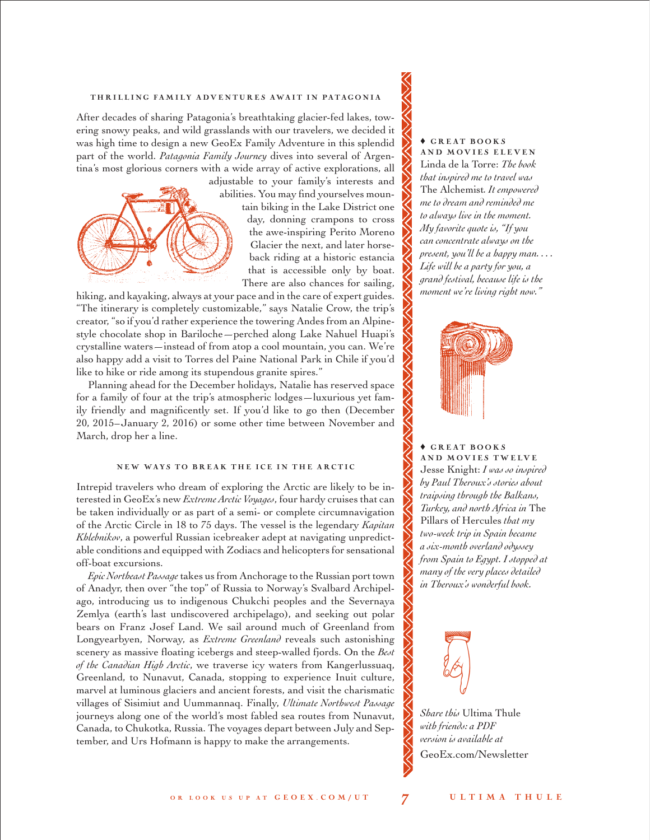#### THRILLING FAMILY ADVENTURES AWAIT IN PATAGONIA

After decades of sharing Patagonia's breathtaking glacier-fed lakes, towering snowy peaks, and wild grasslands with our travelers, we decided it was high time to design a new GeoEx Family Adventure in this splendid part of the world. *Patagonia Family Journey* dives into several of Argentina's most glorious corners with a wide array of active explorations, all



adjustable to your family's interests and abilities. You may find yourselves mountain biking in the Lake District one day, donning crampons to cross the awe-inspiring Perito Moreno Glacier the next, and later horseback riding at a historic estancia that is accessible only by boat. There are also chances for sailing,

hiking, and kayaking, always at your pace and in the care of expert guides. "The itinerary is completely customizable," says Natalie Crow, the trip's creator, "so if you'd rather experience the towering Andes from an Alpinestyle chocolate shop in Bariloche—perched along Lake Nahuel Huapi's crystalline waters—instead of from atop a cool mountain, you can. We're also happy add a visit to Torres del Paine National Park in Chile if you'd like to hike or ride among its stupendous granite spires."

Planning ahead for the December holidays, Natalie has reserved space for a family of four at the trip's atmospheric lodges—luxurious yet family friendly and magnificently set. If you'd like to go then (December 20, 2015–January 2, 2016) or some other time between November and March, drop her a line.

#### NEW WAYS TO BREAK THE ICE IN THE ARCTIC

Intrepid travelers who dream of exploring the Arctic are likely to be interested in GeoEx's new *Extreme Arctic Voyages*, four hardy cruises that can be taken individually or as part of a semi- or complete circumnavigation of the Arctic Circle in 18 to 75 days. The vessel is the legendary *Kapitan Khlebnikov*, a powerful Russian icebreaker adept at navigating unpredictable conditions and equipped with Zodiacs and helicopters for sensational off-boat excursions.

*Epic Northeast Passage* takes us from Anchorage to the Russian port town of Anadyr, then over "the top" of Russia to Norway's Svalbard Archipelago, introducing us to indigenous Chukchi peoples and the Severnaya Zemlya (earth's last undiscovered archipelago), and seeking out polar bears on Franz Josef Land. We sail around much of Greenland from Longyearbyen, Norway, as *Extreme Greenland* reveals such astonishing scenery as massive floating icebergs and steep-walled fjords. On the *Best of the Canadian High Arctic*, we traverse icy waters from Kangerlussuaq, Greenland, to Nunavut, Canada, stopping to experience Inuit culture, marvel at luminous glaciers and ancient forests, and visit the charismatic villages of Sisimiut and Uummannaq. Finally, *Ultimate Northwest Passage*  journeys along one of the world's most fabled sea routes from Nunavut, Canada, to Chukotka, Russia. The voyages depart between July and September, and Urs Hofmann is happy to make the arrangements.

#### $\triangle$  GREAT BOOKS AND MOVIES ELEVEN

Linda de la Torre: *The book that inspired me to travel was*  The Alchemist*. It empowered me to dream and reminded me to always live in the moment. My favorite quote is, "If you can concentrate always on the present, you'll be a happy man. . . . Life will be a party for you, a grand festival, because life is the moment we're living right now."* 



## $\triangle$  GREAT BOOKS

AND MOVIES TWELVE Jesse Knight: *I was so inspired by Paul Theroux's stories about traipsing through the Balkans, Turkey, and north Africa in* The Pillars of Hercules *that my two-week trip in Spain became a six-month overland odyssey from Spain to Egypt. I stopped at many of the very places detailed in Theroux's wonderful book.*



*Share this* Ultima Thule *with friends: a PDF version is available at* [GeoEx.com/Newsletter](www.geoex.com/newsletter)